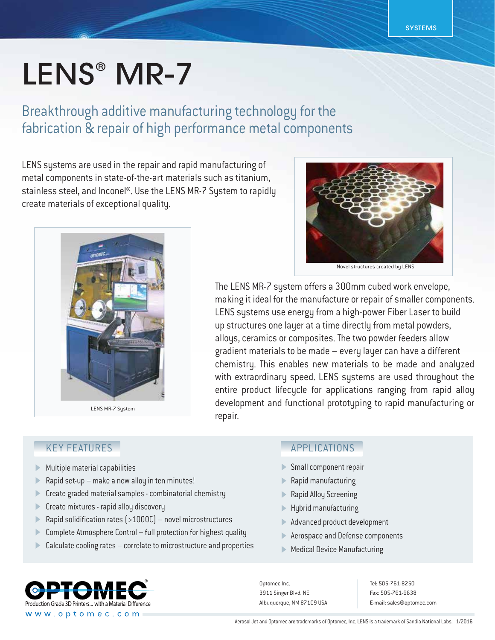# LENS<sup>®</sup> MR-7

Breakthrough additive manufacturing technology for the fabrication & repair of high performance metal components

LENS systems are used in the repair and rapid manufacturing of metal components in state-of-the-art materials such as titanium, stainless steel, and Inconel®. Use the LENS MR-7 System to rapidly create materials of exceptional quality.



Novel structures created by LENS

The LENS MR-7 system offers a 300mm cubed work envelope, making it ideal for the manufacture or repair of smaller components. LENS systems use energy from a high-power Fiber Laser to build up structures one layer at a time directly from metal powders, alloys, ceramics or composites. The two powder feeders allow gradient materials to be made – every layer can have a different chemistry. This enables new materials to be made and analyzed with extraordinary speed. LENS systems are used throughout the entire product lifecycle for applications ranging from rapid alloy development and functional prototyping to rapid manufacturing or

### KEY FEATURES

- Multiple material capabilities Þ
- Rapid set-up make a new alloy in ten minutes!  $\blacktriangleright$
- Create graded material samples combinatorial chemistry Þ
- Create mixtures rapid alloy discovery  $\blacktriangleright$
- Rapid solidification rates (>1000C) novel microstructures  $\mathbf{D}$
- Complete Atmosphere Control full protection for highest quality  $\blacktriangleright$
- Calculate cooling rates correlate to microstructure and properties Þ

#### APPLICATIONS

- Small component repair
- Rapid manufacturing
- Rapid Alloy Screening
- Hybrid manufacturing
- Advanced product development
- Aerospace and Defense components
- **Medical Device Manufacturing**

Optomec Inc. 3911 Singer Blvd. NE Albuquerque, NM 87109 USA

Tel: 505-761-8250 Fax: 505-761-6638 E-mail: sales@optomec.com

Production Grade 3D Printers... with a Material Difference www.optomec.com